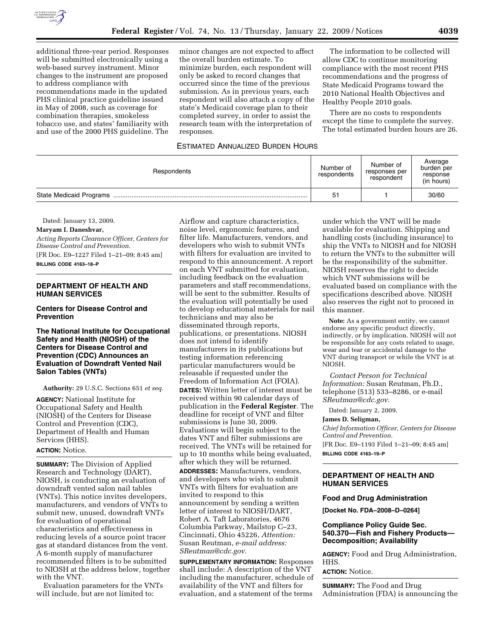

additional three-year period. Responses will be submitted electronically using a web-based survey instrument. Minor changes to the instrument are proposed to address compliance with recommendations made in the updated PHS clinical practice guideline issued in May of 2008, such as coverage for combination therapies, smokeless tobacco use, and states' familiarity with and use of the 2000 PHS guideline. The

minor changes are not expected to affect the overall burden estimate. To minimize burden, each respondent will only be asked to record changes that occurred since the time of the previous submission. As in previous years, each respondent will also attach a copy of the state's Medicaid coverage plan to their completed survey, in order to assist the research team with the interpretation of responses.

#### ESTIMATED ANNUALIZED BURDEN HOURS

The information to be collected will allow CDC to continue monitoring compliance with the most recent PHS recommendations and the progress of State Medicaid Programs toward the 2010 National Health Objectives and Healthy People 2010 goals.

There are no costs to respondents except the time to complete the survey. The total estimated burden hours are 26.

| Respondents | Number of<br>respondents | Number of<br>responses per<br>respondent | Average<br>burden per<br>response<br>(in hours) |
|-------------|--------------------------|------------------------------------------|-------------------------------------------------|
|             | 51                       |                                          | 30/60                                           |

Dated: January 13, 2009.

# **Maryam I. Daneshvar,**

*Acting Reports Clearance Officer, Centers for Disease Control and Prevention.* 

[FR Doc. E9–1227 Filed 1–21–09; 8:45 am] **BILLING CODE 4163–18–P** 

#### **DEPARTMENT OF HEALTH AND HUMAN SERVICES**

#### **Centers for Disease Control and Prevention**

#### **The National Institute for Occupational Safety and Health (NIOSH) of the Centers for Disease Control and Prevention (CDC) Announces an Evaluation of Downdraft Vented Nail Salon Tables (VNTs)**

**Authority:** 29 U.S.C. Sections 651 *et seq.* 

**AGENCY:** National Institute for Occupational Safety and Health (NIOSH) of the Centers for Disease Control and Prevention (CDC), Department of Health and Human Services (HHS).

## **ACTION:** Notice.

**SUMMARY:** The Division of Applied Research and Technology (DART), NIOSH, is conducting an evaluation of downdraft vented salon nail tables (VNTs). This notice invites developers, manufacturers, and vendors of VNTs to submit new, unused, downdraft VNTs for evaluation of operational characteristics and effectiveness in reducing levels of a source point tracer gas at standard distances from the vent. A 6-month supply of manufacturer recommended filters is to be submitted to NIOSH at the address below, together with the VNT.

Evaluation parameters for the VNTs will include, but are not limited to:

Airflow and capture characteristics, noise level, ergonomic features, and filter life. Manufacturers, vendors, and developers who wish to submit VNTs with filters for evaluation are invited to respond to this announcement. A report on each VNT submitted for evaluation, including feedback on the evaluation parameters and staff recommendations, will be sent to the submitter. Results of the evaluation will potentially be used to develop educational materials for nail technicians and may also be disseminated through reports, publications, or presentations. NIOSH does not intend to identify manufacturers in its publications but testing information referencing particular manufacturers would be releasable if requested under the Freedom of Information Act (FOIA). **DATES:** Written letter of interest must be received within 90 calendar days of publication in the **Federal Register**. The deadline for receipt of VNT and filter submissions is June 30, 2009. Evaluations will begin subject to the dates VNT and filter submissions are received. The VNTs will be retained for up to 10 months while being evaluated, after which they will be returned. **ADDRESSES:** Manufacturers, vendors, and developers who wish to submit VNTs with filters for evaluation are invited to respond to this announcement by sending a written letter of interest to NIOSH/DART, Robert A. Taft Laboratories, 4676

Columbia Parkway, Mailstop C–23, Cincinnati, Ohio 45226, *Attention:*  Susan Reutman, *e-mail address: SReutman@cdc.gov.* 

**SUPPLEMENTARY INFORMATION:** Responses shall include: A description of the VNT including the manufacturer, schedule of availability of the VNT and filters for evaluation, and a statement of the terms

under which the VNT will be made available for evaluation. Shipping and handling costs (including insurance) to ship the VNTs to NIOSH and for NIOSH to return the VNTs to the submitter will be the responsibility of the submitter. NIOSH reserves the right to decide which VNT submissions will be evaluated based on compliance with the specifications described above. NIOSH also reserves the right not to proceed in this manner.

**Note:** As a government entity, we cannot endorse any specific product directly, indirectly, or by implication. NIOSH will not be responsible for any costs related to usage, wear and tear or accidental damage to the VNT during transport or while the VNT is at NIOSH.

*Contact Person for Technical Information:* Susan Reutman, Ph.D., telephone (513) 533–8286, or e-mail *SReutman@cdc.gov.* 

Dated: January 2, 2009.

#### **James D. Seligman,**

*Chief Information Officer, Centers for Disease Control and Prevention.*  [FR Doc. E9–1193 Filed 1–21–09; 8:45 am]

**BILLING CODE 4163–19–P** 

### **DEPARTMENT OF HEALTH AND HUMAN SERVICES**

#### **Food and Drug Administration**

**[Docket No. FDA–2008–D–0264]** 

#### **Compliance Policy Guide Sec. 540.370—Fish and Fishery Products— Decomposition; Availability**

**AGENCY:** Food and Drug Administration, HHS.

**ACTION:** Notice.

**SUMMARY:** The Food and Drug Administration (FDA) is announcing the